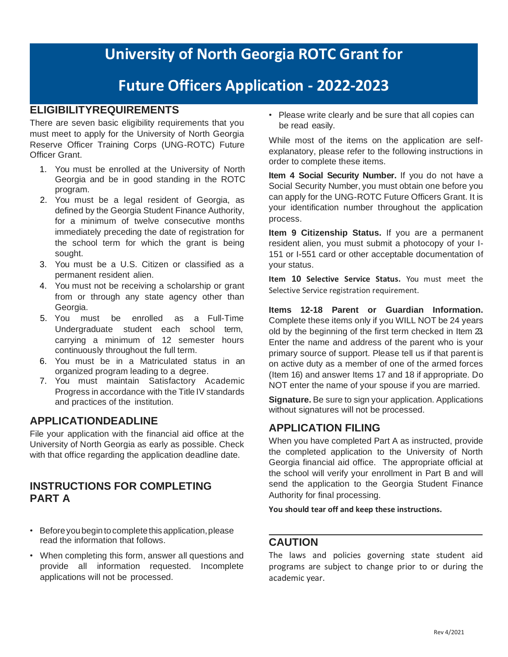# **University of North Georgia ROTC Grant for**

# **Future Officers Application - 2022-2023**

## **ELIGIBILITYREQUIREMENTS**

There are seven basic eligibility requirements that you must meet to apply for the University of North Georgia Reserve Officer Training Corps (UNG-ROTC) Future Officer Grant.

- 1. You must be enrolled at the University of North Georgia and be in good standing in the ROTC program.
- 2. You must be a legal resident of Georgia, as defined by the Georgia Student Finance Authority, for a minimum of twelve consecutive months immediately preceding the date of registration for the school term for which the grant is being sought.
- 3. You must be a U.S. Citizen or classified as a permanent resident alien.
- 4. You must not be receiving a scholarship or grant from or through any state agency other than Georgia.
- 5. You must be enrolled as a Full-Time Undergraduate student each school term, carrying a minimum of 12 semester hours continuously throughout the full term.
- 6. You must be in a Matriculated status in an organized program leading to a degree.
- 7. You must maintain Satisfactory Academic Progress in accordance with the Title IV standards and practices of the institution.

## **APPLICATIONDEADLINE**

File your application with the financial aid office at the University of North Georgia as early as possible. Check with that office regarding the application deadline date.

#### **INSTRUCTIONS FOR COMPLETING PART A**

- Before you begin to complete this application, please read the information that follows.
- When completing this form, answer all questions and provide all information requested. Incomplete applications will not be processed.

• Please write clearly and be sure that all copies can be read easily.

While most of the items on the application are selfexplanatory, please refer to the following instructions in order to complete these items.

**Item 4 Social Security Number.** If you do not have a Social Security Number, you must obtain one before you can apply for the UNG-ROTC Future Officers Grant. It is your identification number throughout the application process.

**Item 9 Citizenship Status.** If you are a permanent resident alien, you must submit a photocopy of your I-151 or I-551 card or other acceptable documentation of your status.

**Item 10 Selective Service Status.** You must meet the Selective Service registration requirement.

**Items 12-18 Parent or Guardian Information.**  Complete these items only if you WILL NOT be 24 years old by the beginning of the first term checked in Item 23. Enter the name and address of the parent who is your primary source of support. Please tell us if that parent is on active duty as a member of one of the armed forces (Item 16) and answer Items 17 and 18 if appropriate. Do NOT enter the name of your spouse if you are married.

**Signature.** Be sure to sign your application. Applications without signatures will not be processed.

## **APPLICATION FILING**

When you have completed Part A as instructed, provide the completed application to the University of North Georgia financial aid office. The appropriate official at the school will verify your enrollment in Part B and will send the application to the Georgia Student Finance Authority for final processing.

**You should tear off and keep these instructions.**

#### **CAUTION**

The laws and policies governing state student aid programs are subject to change prior to or during the academic year.